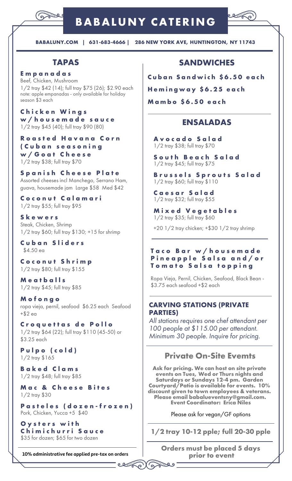

# **BABALUNY CATERING**



**BABALUNY.COM | 631-683-4666 | 286 NEW YORK AVE, HUNTINGTON, NY 11743**

# **TAPAS**

**E m p a n a d a s** Beef, Chicken, Mushroom 1/2 tray \$42 (14); full tray \$75 (26); \$2.90 each note: apple empanadas - only available for holiday season \$3 each

**C h i c k e n W i n g s w / h o u s e m a d e s a u c e** 1/2 tray \$45 (40); full tray \$90 (80)

**R o a s t e d H a v a n a C o r n ( C u b a n s e a s o n i n g w / G o a t C h e e s e** 1/2 tray \$38; full tray \$70

**S p a n i s h C h e e s e P l a t e** Assorted cheeses incl Manchego, Serrano Ham, guava, housemade jam Large \$58 Med \$42

**C o c o n u t C a l a m a r i** 1/2 tray \$55; full tray \$95

**S k e w e r s** Steak, Chicken, Shrimp 1/2 tray \$60; full tray \$130; +15 for shrimp

**C u b a n S l i d e r s** \$4.50 ea

**C o c o n u t S h r i m p** 1/2 tray \$80; full tray \$155

**M e a t b a l l s** 1/2 tray \$45; full tray \$85

**M o f o n g o** ropa vieja, pernil, seafood \$6.25 each Seafood +\$2 ea

**C r o q u e t t a s d e P o l l o** 1/2 tray \$64 (22); full tray \$110 (45-50) or \$3.25 each

**P u l p o ( c o l d )** 1/2 tray \$165

**B a k e d C l a m s** 1/2 tray \$48; full tray \$85

**M a c & C h e e s e B i t e s** 1/2 tray \$30

**P a s t e l e s ( d o z e n - f r o z e n )** Pork, Chicken, Yucca +5 \$40

**O y s t e r s w i t h C h i m i c h u r r i S a u c e** \$35 for dozen; \$65 for two dozen

**10% administrative fee applied pre-tax on orders**

بزن<br>برنگ

<u>ی پی</u>

໌ດ

# **SANDWICHES**

**C u b a n S a n d w i c h \$ 6 . 5 0 e a c h**

**H e m i n g w a y \$ 6 . 2 5 e a c h**

**M a m b o \$ 6 . 5 0 e a c h**

## **ENSALADAS**

**A v o c a d o S a l a d** 1/2 tray \$38; full tray \$70

**S o u t h B e a c h S a l a d** 1/2 tray \$45; full tray \$75

**B r u s s e l s S p r o u t s S a l a d** 1/2 tray \$60; full tray \$110

**C a e s a r S a l a d** 1/2 tray \$32; full tray \$55

**M i x e d V e g e t a b l e s** 1/2 tray \$35; full tray \$60

+20 1/2 tray chicken; +\$30 1/2 tray shrimp

#### **T a c o B a r w / h o u s e m a d e P i n e a p p l e S a l s a a n d / o r T o m a t o S a l s a t o p p i n g**

Ropa Vieja, Pernil, Chicken, Seafood, Black Bean - \$3.75 each seafood +\$2 each

#### **CARVING STATIONS (PRIVATE PARTIES)**

*All stations requires one chef attendant per 100 people at \$115.00 per attendant. Minimum 30 people. Inquire for pricing.*

## **Private On-Site Evemts**

**Ask for pricing. We can host on site private events on Tues, Wed or Thurs nights and Saturdays or Sundays 12-4 pm. Garden Courtyard/Patio is available for events. 10% discount given to town employees & veterans. Please email babalueventsny@gmail.com. Event Coordinator: Erica Niles**

Please ask for vegan/GF options

**1/2 tray 10-12 pple; full 20-30 pple**

**Orders must be placed 5 days prior to event**